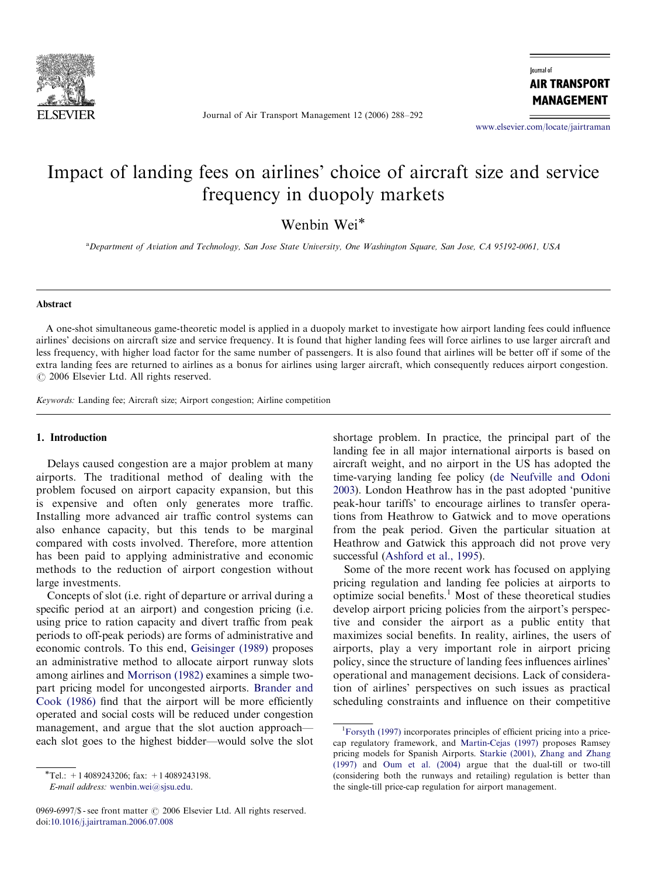

Journal of Air Transport Management 12 (2006) 288–292

lournal of **AIR TRANSPORT MANAGEMENT** 

<www.elsevier.com/locate/jairtraman>

# Impact of landing fees on airlines' choice of aircraft size and service frequency in duopoly markets

Wenbin Wei

a Department of Aviation and Technology, San Jose State University, One Washington Square, San Jose, CA 95192-0061, USA

### Abstract

A one-shot simultaneous game-theoretic model is applied in a duopoly market to investigate how airport landing fees could influence airlines' decisions on aircraft size and service frequency. It is found that higher landing fees will force airlines to use larger aircraft and less frequency, with higher load factor for the same number of passengers. It is also found that airlines will be better off if some of the extra landing fees are returned to airlines as a bonus for airlines using larger aircraft, which consequently reduces airport congestion.  $O$  2006 Elsevier Ltd. All rights reserved.

Keywords: Landing fee; Aircraft size; Airport congestion; Airline competition

#### 1. Introduction

Delays caused congestion are a major problem at many airports. The traditional method of dealing with the problem focused on airport capacity expansion, but this is expensive and often only generates more traffic. Installing more advanced air traffic control systems can also enhance capacity, but this tends to be marginal compared with costs involved. Therefore, more attention has been paid to applying administrative and economic methods to the reduction of airport congestion without large investments.

Concepts of slot (i.e. right of departure or arrival during a specific period at an airport) and congestion pricing (i.e. using price to ration capacity and divert traffic from peak periods to off-peak periods) are forms of administrative and economic controls. To this end, [Geisinger \(1989\)](#page--1-0) proposes an administrative method to allocate airport runway slots among airlines and [Morrison \(1982\)](#page--1-0) examines a simple twopart pricing model for uncongested airports. [Brander and](#page--1-0) [Cook \(1986\)](#page--1-0) find that the airport will be more efficiently operated and social costs will be reduced under congestion management, and argue that the slot auction approach each slot goes to the highest bidder—would solve the slot

E-mail address: [wenbin.wei@sjsu.edu.](mailto:wenbin.wei@sjsu.edu)

0969-6997/\$ - see front matter  $\odot$  2006 Elsevier Ltd. All rights reserved. doi:[10.1016/j.jairtraman.2006.07.008](dx.doi.org/10.1016/j.jairtraman.2006.07.008)

shortage problem. In practice, the principal part of the landing fee in all major international airports is based on aircraft weight, and no airport in the US has adopted the time-varying landing fee policy [\(de Neufville and Odoni](#page--1-0) [2003](#page--1-0)). London Heathrow has in the past adopted 'punitive peak-hour tariffs' to encourage airlines to transfer operations from Heathrow to Gatwick and to move operations from the peak period. Given the particular situation at Heathrow and Gatwick this approach did not prove very successful [\(Ashford et al., 1995](#page--1-0)).

Some of the more recent work has focused on applying pricing regulation and landing fee policies at airports to optimize social benefits.<sup>1</sup> Most of these theoretical studies develop airport pricing policies from the airport's perspective and consider the airport as a public entity that maximizes social benefits. In reality, airlines, the users of airports, play a very important role in airport pricing policy, since the structure of landing fees influences airlines' operational and management decisions. Lack of consideration of airlines' perspectives on such issues as practical scheduling constraints and influence on their competitive

 $*$ Tel.: +14089243206; fax: +14089243198.

<sup>&</sup>lt;sup>1</sup>[Forsyth \(1997\)](#page--1-0) incorporates principles of efficient pricing into a pricecap regulatory framework, and [Martin-Cejas \(1997\)](#page--1-0) proposes Ramsey pricing models for Spanish Airports. [Starkie \(2001\)](#page--1-0), [Zhang and Zhang](#page--1-0) [\(1997\)](#page--1-0) and [Oum et al. \(2004\)](#page--1-0) argue that the dual-till or two-till (considering both the runways and retailing) regulation is better than the single-till price-cap regulation for airport management.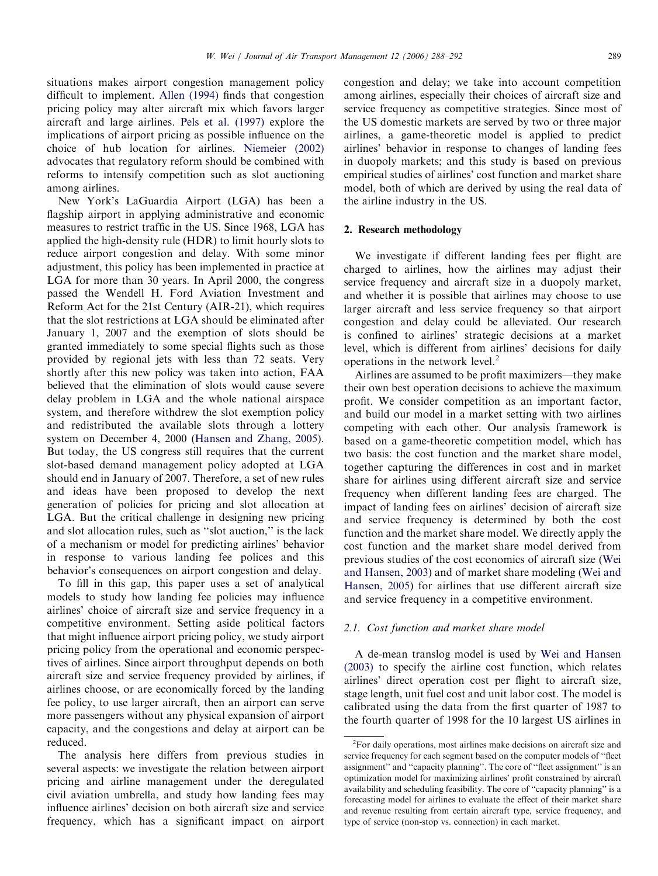situations makes airport congestion management policy difficult to implement. [Allen \(1994\)](#page--1-0) finds that congestion pricing policy may alter aircraft mix which favors larger aircraft and large airlines. [Pels et al. \(1997\)](#page--1-0) explore the implications of airport pricing as possible influence on the choice of hub location for airlines. [Niemeier \(2002\)](#page--1-0) advocates that regulatory reform should be combined with reforms to intensify competition such as slot auctioning among airlines.

New York's LaGuardia Airport (LGA) has been a flagship airport in applying administrative and economic measures to restrict traffic in the US. Since 1968, LGA has applied the high-density rule (HDR) to limit hourly slots to reduce airport congestion and delay. With some minor adjustment, this policy has been implemented in practice at LGA for more than 30 years. In April 2000, the congress passed the Wendell H. Ford Aviation Investment and Reform Act for the 21st Century (AIR-21), which requires that the slot restrictions at LGA should be eliminated after January 1, 2007 and the exemption of slots should be granted immediately to some special flights such as those provided by regional jets with less than 72 seats. Very shortly after this new policy was taken into action, FAA believed that the elimination of slots would cause severe delay problem in LGA and the whole national airspace system, and therefore withdrew the slot exemption policy and redistributed the available slots through a lottery system on December 4, 2000 ([Hansen and Zhang, 2005\)](#page--1-0). But today, the US congress still requires that the current slot-based demand management policy adopted at LGA should end in January of 2007. Therefore, a set of new rules and ideas have been proposed to develop the next generation of policies for pricing and slot allocation at LGA. But the critical challenge in designing new pricing and slot allocation rules, such as ''slot auction,'' is the lack of a mechanism or model for predicting airlines' behavior in response to various landing fee polices and this behavior's consequences on airport congestion and delay.

To fill in this gap, this paper uses a set of analytical models to study how landing fee policies may influence airlines' choice of aircraft size and service frequency in a competitive environment. Setting aside political factors that might influence airport pricing policy, we study airport pricing policy from the operational and economic perspectives of airlines. Since airport throughput depends on both aircraft size and service frequency provided by airlines, if airlines choose, or are economically forced by the landing fee policy, to use larger aircraft, then an airport can serve more passengers without any physical expansion of airport capacity, and the congestions and delay at airport can be reduced.

The analysis here differs from previous studies in several aspects: we investigate the relation between airport pricing and airline management under the deregulated civil aviation umbrella, and study how landing fees may influence airlines' decision on both aircraft size and service frequency, which has a significant impact on airport congestion and delay; we take into account competition among airlines, especially their choices of aircraft size and service frequency as competitive strategies. Since most of the US domestic markets are served by two or three major airlines, a game-theoretic model is applied to predict airlines' behavior in response to changes of landing fees in duopoly markets; and this study is based on previous empirical studies of airlines' cost function and market share model, both of which are derived by using the real data of the airline industry in the US.

#### 2. Research methodology

We investigate if different landing fees per flight are charged to airlines, how the airlines may adjust their service frequency and aircraft size in a duopoly market, and whether it is possible that airlines may choose to use larger aircraft and less service frequency so that airport congestion and delay could be alleviated. Our research is confined to airlines' strategic decisions at a market level, which is different from airlines' decisions for daily operations in the network level. $2^2$ 

Airlines are assumed to be profit maximizers—they make their own best operation decisions to achieve the maximum profit. We consider competition as an important factor, and build our model in a market setting with two airlines competing with each other. Our analysis framework is based on a game-theoretic competition model, which has two basis: the cost function and the market share model, together capturing the differences in cost and in market share for airlines using different aircraft size and service frequency when different landing fees are charged. The impact of landing fees on airlines' decision of aircraft size and service frequency is determined by both the cost function and the market share model. We directly apply the cost function and the market share model derived from previous studies of the cost economics of aircraft size ([Wei](#page--1-0) [and Hansen, 2003\)](#page--1-0) and of market share modeling [\(Wei and](#page--1-0) [Hansen, 2005](#page--1-0)) for airlines that use different aircraft size and service frequency in a competitive environment.

#### 2.1. Cost function and market share model

A de-mean translog model is used by [Wei and Hansen](#page--1-0) [\(2003\)](#page--1-0) to specify the airline cost function, which relates airlines' direct operation cost per flight to aircraft size, stage length, unit fuel cost and unit labor cost. The model is calibrated using the data from the first quarter of 1987 to the fourth quarter of 1998 for the 10 largest US airlines in

<sup>&</sup>lt;sup>2</sup>For daily operations, most airlines make decisions on aircraft size and service frequency for each segment based on the computer models of ''fleet assignment'' and ''capacity planning''. The core of ''fleet assignment'' is an optimization model for maximizing airlines' profit constrained by aircraft availability and scheduling feasibility. The core of ''capacity planning'' is a forecasting model for airlines to evaluate the effect of their market share and revenue resulting from certain aircraft type, service frequency, and type of service (non-stop vs. connection) in each market.